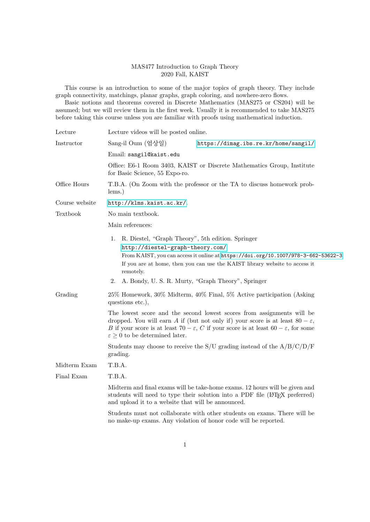## MAS477 Introduction to Graph Theory 2020 Fall, KAIST

This course is an introduction to some of the major topics of graph theory. They include graph connectivity, matchings, planar graphs, graph coloring, and nowhere-zero flows.

Basic notions and theorems covered in Discrete Mathematics (MAS275 or CS204) will be assumed; but we will review them in the first week. Usually it is recommended to take MAS275 before taking this course unless you are familiar with proofs using mathematical induction.

| Lecture        | Lecture videos will be posted online.                                                                                                                                                                                                                                                                                                    |
|----------------|------------------------------------------------------------------------------------------------------------------------------------------------------------------------------------------------------------------------------------------------------------------------------------------------------------------------------------------|
| Instructor     | Sang-il Oum (엄상일)<br>https://dimag.ibs.re.kr/home/sangil/                                                                                                                                                                                                                                                                                |
|                | Email: sangil@kaist.edu                                                                                                                                                                                                                                                                                                                  |
|                | Office: E6-1 Room 3403, KAIST or Discrete Mathematics Group, Institute<br>for Basic Science, 55 Expo-ro.                                                                                                                                                                                                                                 |
| Office Hours   | T.B.A. (On Zoom with the professor or the TA to discuss homework prob-<br>$lems.$ )                                                                                                                                                                                                                                                      |
| Course website | http://klms.kaist.ac.kr/.                                                                                                                                                                                                                                                                                                                |
| Textbook       | No main textbook.                                                                                                                                                                                                                                                                                                                        |
|                | Main references:                                                                                                                                                                                                                                                                                                                         |
|                | R. Diestel, "Graph Theory", 5th edition. Springer<br>1.<br>http://diestel-graph-theory.com/<br>From KAIST, you can access it online at https://doi.org/10.1007/978-3-662-53622-3<br>If you are at home, then you can use the KAIST library website to access it<br>remotely.<br>A. Bondy, U. S. R. Murty, "Graph Theory", Springer<br>2. |
|                |                                                                                                                                                                                                                                                                                                                                          |
| Grading        | 25% Homework, 30% Midterm, 40% Final, 5% Active participation (Asking<br>questions etc.),                                                                                                                                                                                                                                                |
|                | The lowest score and the second lowest scores from assignments will be<br>dropped. You will earn A if (but not only if) your score is at least $80 - \varepsilon$ ,<br>B if your score is at least 70 – $\varepsilon$ , C if your score is at least 60 – $\varepsilon$ , for some<br>$\varepsilon \geq 0$ to be determined later.        |
|                | Students may choose to receive the S/U grading instead of the $A/B/C/D/F$<br>grading.                                                                                                                                                                                                                                                    |
| Midterm Exam   | T.B.A.                                                                                                                                                                                                                                                                                                                                   |
| Final Exam     | T.B.A.                                                                                                                                                                                                                                                                                                                                   |
|                | Midterm and final exams will be take-home exams. 12 hours will be given and<br>students will need to type their solution into a PDF file (LAT <sub>F</sub> X preferred)<br>and upload it to a website that will be announced.                                                                                                            |
|                | Students must not collaborate with other students on exams. There will be<br>no make-up exams. Any violation of honor code will be reported.                                                                                                                                                                                             |